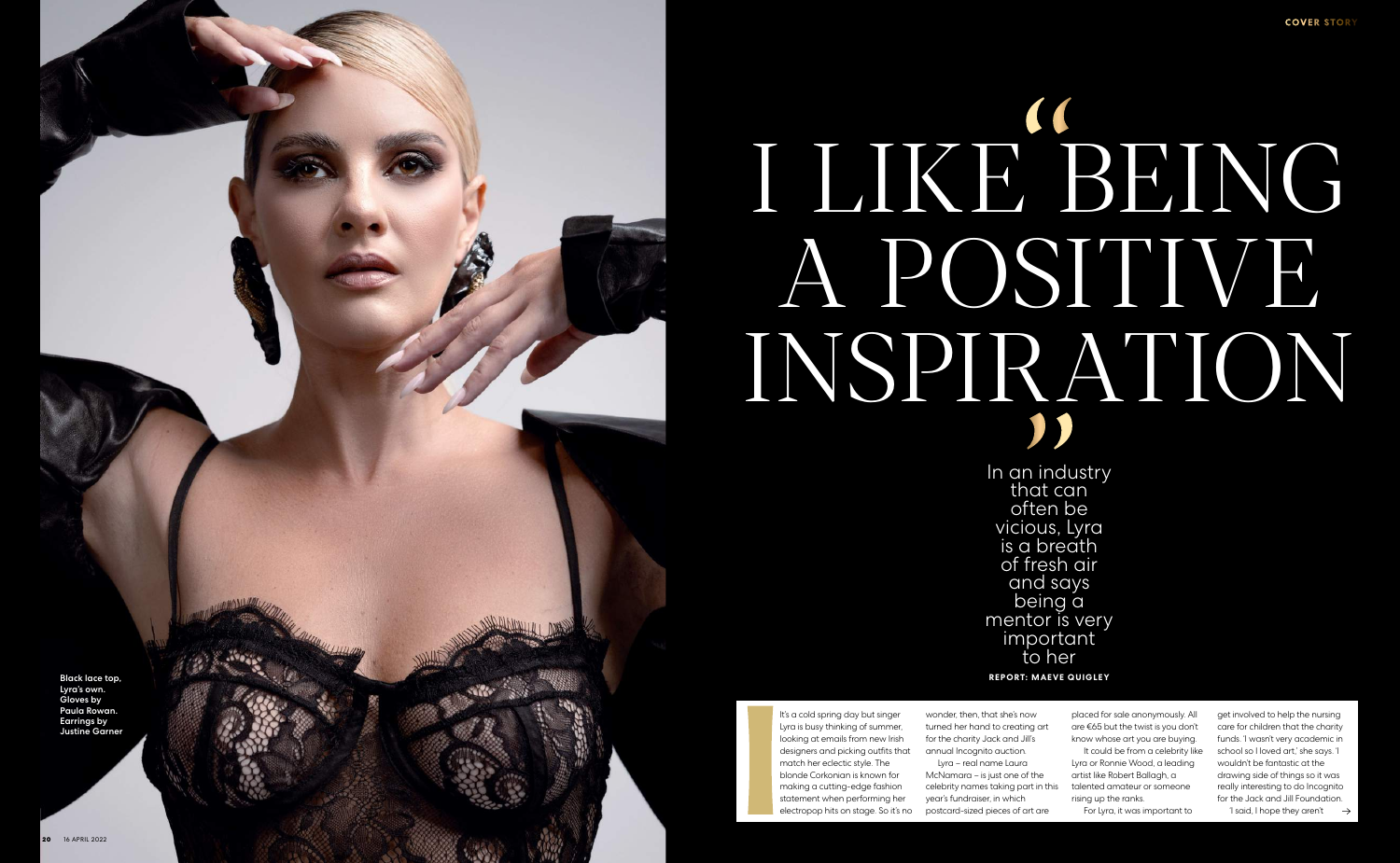## I LIKE BEING A POSITIVE INSPIRATION " | ''

In an industry that can often be vicious, Lyra is a breath of fresh air and says being a mentor is very important to her **report: Maeve Quigley**



It's a cold spring day but singer Lyra is busy thinking of summer, looking at emails from new Irish designers and picking outfits that match her eclectic style. The blonde Corkonian is known for making a cutting-edge fashion statement when performing her electropop hits on stage. So it's no

wonder, then, that she's now turned her hand to creating art for the charity Jack and Jill's annual Incognito auction. Lyra – real name Laura McNamara – is just one of the celebrity names taking part in this year's fundraiser, in which postcard-sized pieces of art are

placed for sale anonymously. All are €65 but the twist is you don't know whose art you are buying.

It could be from a celebrity like Lyra or Ronnie Wood, a leading artist like Robert Ballagh, a talented amateur or someone rising up the ranks.

For Lyra, it was important to

get involved to help the nursing care for children that the charity funds. 'I wasn't very academic in school so I loved art,' she says. 'I wouldn't be fantastic at the drawing side of things so it was really interesting to do Incognito for the Jack and Jill Foundation.

'I said, I hope they aren't  $\rightarrow$ 

Black lace top, Lyra's own. Gloves by Paula Rowan. Earrings by Justine Garner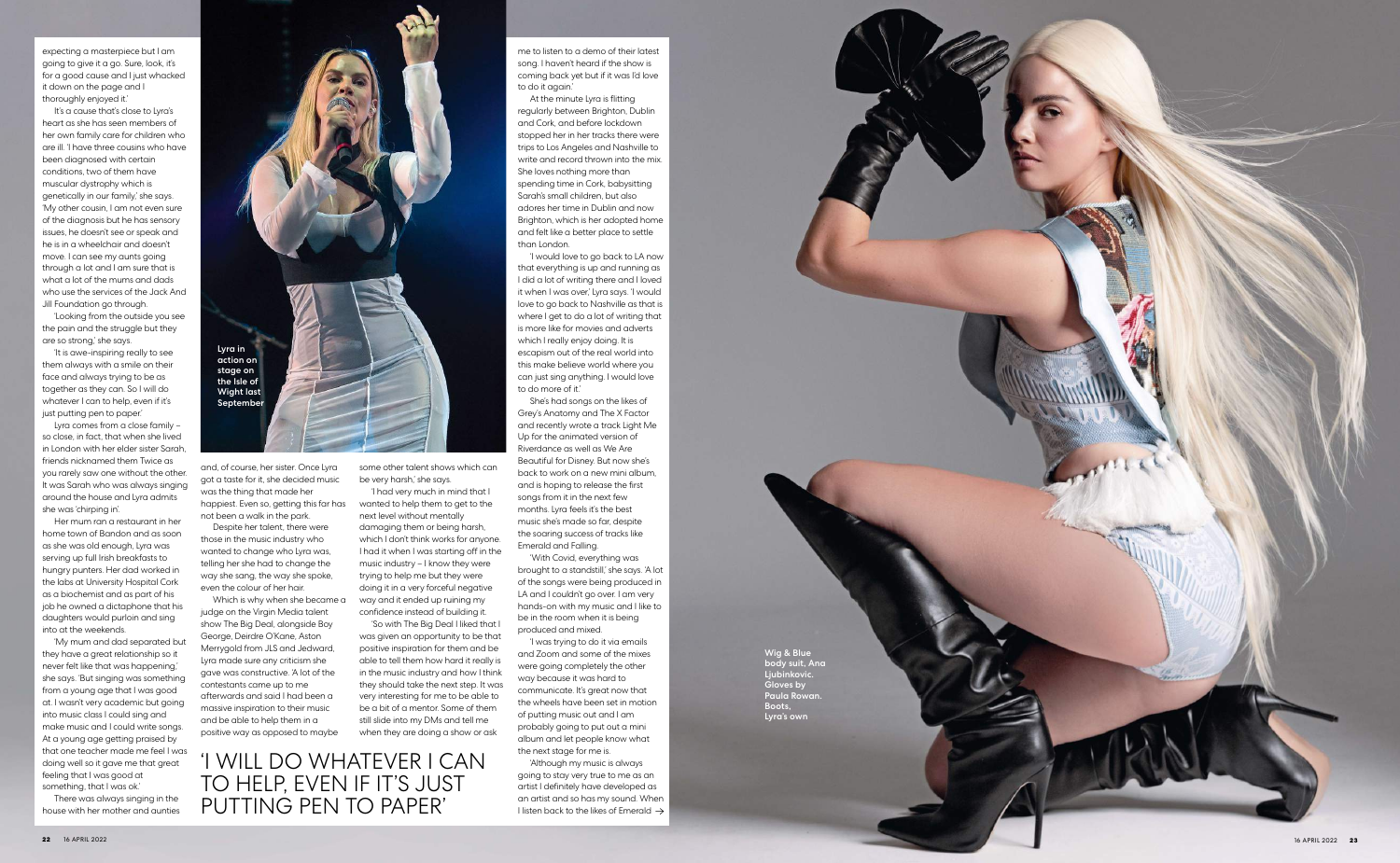expecting a masterpiece but I am going to give it a go. Sure, look, it's for a good cause and I just whacked it down on the page and I thoroughly enjoyed it.'

It's a cause that's close to Lyra's heart as she has seen members of her own family care for children who are ill. 'I have three cousins who have been diagnosed with certain conditions, two of them have muscular dystrophy which is genetically in our family,' she says. 'My other cousin, I am not even sure of the diagnosis but he has sensory issues, he doesn't see or speak and he is in a wheelchair and doesn't move. I can see my aunts going through a lot and I am sure that is what a lot of the mums and dads who use the services of the Jack And Jill Foundation go through.

'Looking from the outside you see the pain and the struggle but they are so strong,' she says.

'It is awe-inspiring really to see them always with a smile on their face and always trying to be as together as they can. So I will do whatever I can to help, even if it's just putting pen to paper.'

Lyra comes from a close family – so close, in fact, that when she lived in London with her elder sister Sarah, friends nicknamed them Twice as you rarely saw one without the other. It was Sarah who was always singing around the house and Lyra admits she was 'chirping in'.

Her mum ran a restaurant in her home town of Bandon and as soon as she was old enough, Lyra was serving up full Irish breakfasts to hungry punters. Her dad worked in the labs at University Hospital Cork as a biochemist and as part of his job he owned a dictaphone that his daughters would purloin and sing into at the weekends.

'My mum and dad separated but they have a great relationship so it never felt like that was happening,' she says. 'But singing was something from a young age that I was good at. I wasn't very academic but going into music class I could sing and make music and I could write songs. At a young age getting praised by that one teacher made me feel I was doing well so it gave me that great feeling that I was good at something, that I was ok.'

There was always singing in the house with her mother and aunties and, of course, her sister. Once Lyra got a taste for it, she decided music was the thing that made her happiest. Even so, getting this far has not been a walk in the park.

Despite her talent, there were those in the music industry who wanted to change who Lyra was, telling her she had to change the way she sang, the way she spoke, even the colour of her hair.

Which is why when she became a judge on the Virgin Media talent show The Big Deal, alongside Boy George, Deirdre O'Kane, Aston Merrygold from JLS and Jedward, Lyra made sure any criticism she gave was constructive. 'A lot of the contestants came up to me afterwards and said I had been a massive inspiration to their music and be able to help them in a positive way as opposed to maybe

> 'Although my music is always going to stay very true to me as an artist I definitely have developed as an artist and so has my sound. When I listen back to the likes of Emerald  $\rightarrow$

be very harsh,' she says.

'I had very much in mind that I wanted to help them to get to the next level without mentally damaging them or being harsh, which I don't think works for anyone. I had it when I was starting off in the music industry – I know they were trying to help me but they were doing it in a very forceful negative way and it ended up ruining my confidence instead of building it. 'So with The Big Deal I liked that I was given an opportunity to be that positive inspiration for them and be able to tell them how hard it really is in the music industry and how I think they should take the next step. It was very interesting for me to be able to be a bit of a mentor. Some of them still slide into my DMs and tell me when they are doing a show or ask

me to listen to a demo of their latest song. I haven't heard if the show is coming back yet but if it was I'd love to do it again.'

At the minute Lyra is flitting regularly between Brighton, Dublin and Cork, and before lockdown stopped her in her tracks there were trips to Los Angeles and Nashville to write and record thrown into the mix. She loves nothing more than spending time in Cork, babysitting Sarah's small children, but also adores her time in Dublin and now Brighton, which is her adopted home and felt like a better place to settle than London.

'I would love to go back to LA now that everything is up and running as I did a lot of writing there and I loved it when I was over,' Lyra says. 'I would love to go back to Nashville as that is where I get to do a lot of writing that is more like for movies and adverts which I really enjoy doing. It is escapism out of the real world into this make believe world where you can just sing anything. I would love to do more of it.'



She's had songs on the likes of Grey's Anatomy and The X Factor and recently wrote a track Light Me Up for the animated version of Riverdance as well as We Are Beautiful for Disney. But now she's back to work on a new mini album, and is hoping to release the first songs from it in the next few months. Lyra feels it's the best music she's made so far, despite the soaring success of tracks like Emerald and Falling.

'With Covid, everything was brought to a standstill,' she says. 'A lot of the songs were being produced in LA and I couldn't go over. I am very hands-on with my music and I like to be in the room when it is being produced and mixed.

'I was trying to do it via emails and Zoom and some of the mixes were going completely the other way because it was hard to communicate. It's great now that the wheels have been set in motion of putting music out and I am probably going to put out a mini album and let people know what the next stage for me is.

Wig & Blue body suit, Ana Ljubinkovic. Gloves by Paula Rowan. Boots, Lyra's own

'I will do whatever I can to help, even if it's J ' PUTTING PEN TO PAPE '